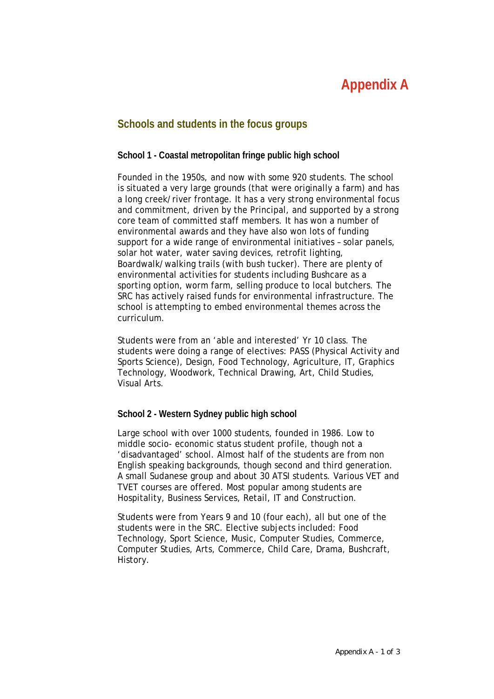# **Appendix A**

## **Schools and students in the focus groups**

#### **School 1 - Coastal metropolitan fringe public high school**

Founded in the 1950s, and now with some 920 students. The school is situated a very large grounds (that were originally a farm) and has a long creek/river frontage. It has a very strong environmental focus and commitment, driven by the Principal, and supported by a strong core team of committed staff members. It has won a number of environmental awards and they have also won lots of funding support for a wide range of environmental initiatives – solar panels, solar hot water, water saving devices, retrofit lighting, Boardwalk/walking trails (with bush tucker). There are plenty of environmental activities for students including Bushcare as a sporting option, worm farm, selling produce to local butchers. The SRC has actively raised funds for environmental infrastructure. The school is attempting to embed environmental themes across the curriculum.

Students were from an 'able and interested' Yr 10 class. The students were doing a range of electives: PASS (Physical Activity and Sports Science), Design, Food Technology, Agriculture, IT, Graphics Technology, Woodwork, Technical Drawing, Art, Child Studies, Visual Arts.

#### **School 2 - Western Sydney public high school**

Large school with over 1000 students, founded in 1986. Low to middle socio- economic status student profile, though not a 'disadvantaged' school. Almost half of the students are from non English speaking backgrounds, though second and third generation. A small Sudanese group and about 30 ATSI students. Various VET and TVET courses are offered. Most popular among students are Hospitality, Business Services, Retail, IT and Construction.

Students were from Years 9 and 10 (four each), all but one of the students were in the SRC. Elective subjects included: Food Technology, Sport Science, Music, Computer Studies, Commerce, Computer Studies, Arts, Commerce, Child Care, Drama, Bushcraft, History.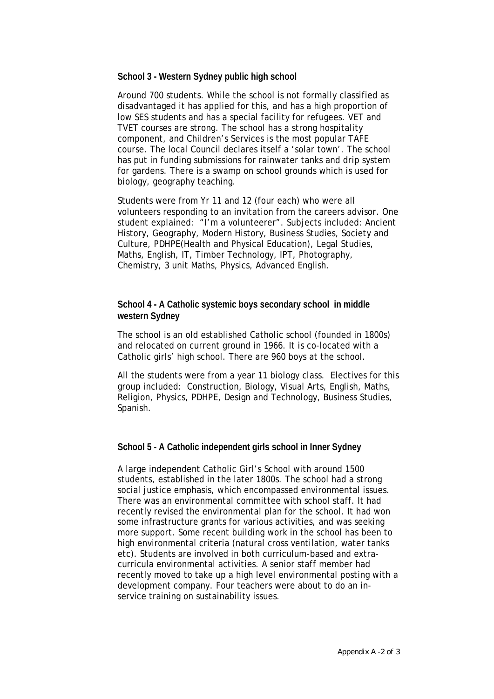#### **School 3 - Western Sydney public high school**

Around 700 students. While the school is not formally classified as disadvantaged it has applied for this, and has a high proportion of low SES students and has a special facility for refugees. VET and TVET courses are strong. The school has a strong hospitality component, and Children's Services is the most popular TAFE course. The local Council declares itself a 'solar town'. The school has put in funding submissions for rainwater tanks and drip system for gardens. There is a swamp on school grounds which is used for biology, geography teaching.

Students were from Yr 11 and 12 (four each) who were all volunteers responding to an invitation from the careers advisor. One student explained: "I'm a volunteerer". Subjects included: Ancient History, Geography, Modern History, Business Studies, Society and Culture, PDHPE(Health and Physical Education), Legal Studies, Maths, English, IT, Timber Technology, IPT, Photography, Chemistry, 3 unit Maths, Physics, Advanced English.

#### **School 4 - A Catholic systemic boys secondary school in middle western Sydney**

The school is an old established Catholic school (founded in 1800s) and relocated on current ground in 1966. It is co-located with a Catholic girls' high school. There are 960 boys at the school.

All the students were from a year 11 biology class. Electives for this group included: Construction, Biology, Visual Arts, English, Maths, Religion, Physics, PDHPE, Design and Technology, Business Studies, Spanish.

#### **School 5 - A Catholic independent girls school in Inner Sydney**

A large independent Catholic Girl's School with around 1500 students, established in the later 1800s. The school had a strong social justice emphasis, which encompassed environmental issues. There was an environmental committee with school staff. It had recently revised the environmental plan for the school. It had won some infrastructure grants for various activities, and was seeking more support. Some recent building work in the school has been to high environmental criteria (natural cross ventilation, water tanks etc). Students are involved in both curriculum-based and extracurricula environmental activities. A senior staff member had recently moved to take up a high level environmental posting with a development company. Four teachers were about to do an inservice training on sustainability issues.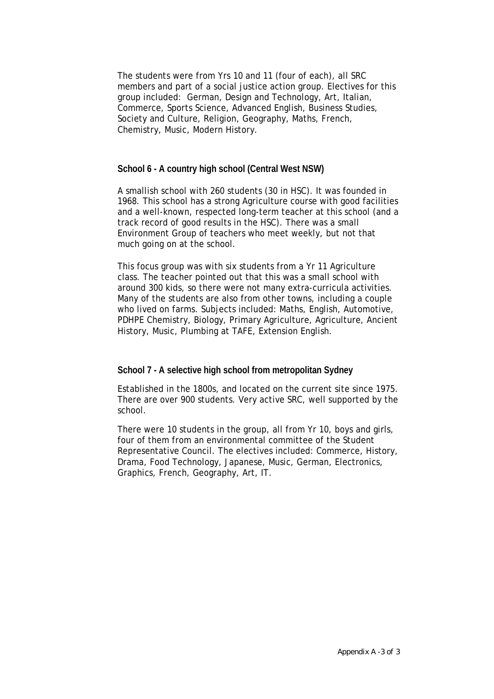The students were from Yrs 10 and 11 (four of each), all SRC members and part of a social justice action group. Electives for this group included: German, Design and Technology, Art, Italian, Commerce, Sports Science, Advanced English, Business Studies, Society and Culture, Religion, Geography, Maths, French, Chemistry, Music, Modern History.

#### **School 6 - A country high school (Central West NSW)**

A smallish school with 260 students (30 in HSC). It was founded in 1968. This school has a strong Agriculture course with good facilities and a well-known, respected long-term teacher at this school (and a track record of good results in the HSC). There was a small Environment Group of teachers who meet weekly, but not that much going on at the school.

This focus group was with six students from a Yr 11 Agriculture class. The teacher pointed out that this was a small school with around 300 kids, so there were not many extra-curricula activities. Many of the students are also from other towns, including a couple who lived on farms. Subjects included: Maths, English, Automotive, PDHPE Chemistry, Biology, Primary Agriculture, Agriculture, Ancient History, Music, Plumbing at TAFE, Extension English.

#### **School 7 - A selective high school from metropolitan Sydney**

Established in the 1800s, and located on the current site since 1975. There are over 900 students. Very active SRC, well supported by the school.

There were 10 students in the group, all from Yr 10, boys and girls, four of them from an environmental committee of the Student Representative Council. The electives included: Commerce, History, Drama, Food Technology, Japanese, Music, German, Electronics, Graphics, French, Geography, Art, IT.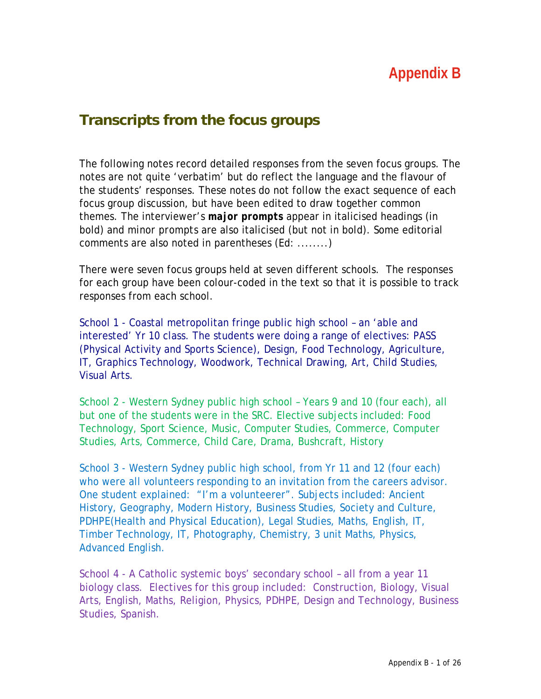# **Appendix B**

# **Transcripts from the focus groups**

The following notes record detailed responses from the seven focus groups. The notes are not quite 'verbatim' but do reflect the language and the flavour of the students' responses. These notes do not follow the exact sequence of each focus group discussion, but have been edited to draw together common themes. The interviewer's *major prompts* appear in italicised headings (in bold) and *minor prompts* are also italicised (but not in bold). Some editorial comments are also noted in parentheses (Ed: ........)

There were seven focus groups held at seven different schools. The responses for each group have been colour-coded in the text so that it is possible to track responses from each school.

School 1 - Coastal metropolitan fringe public high school – an 'able and interested' Yr 10 class. The students were doing a range of electives: PASS (Physical Activity and Sports Science), Design, Food Technology, Agriculture, IT, Graphics Technology, Woodwork, Technical Drawing, Art, Child Studies, Visual Arts.

School 2 - Western Sydney public high school – Years 9 and 10 (four each), all but one of the students were in the SRC. Elective subjects included: Food Technology, Sport Science, Music, Computer Studies, Commerce, Computer Studies, Arts, Commerce, Child Care, Drama, Bushcraft, History

School 3 - Western Sydney public high school, from Yr 11 and 12 (four each) who were all volunteers responding to an invitation from the careers advisor. One student explained: "I'm a volunteerer". Subjects included: Ancient History, Geography, Modern History, Business Studies, Society and Culture, PDHPE(Health and Physical Education), Legal Studies, Maths, English, IT, Timber Technology, IT, Photography, Chemistry, 3 unit Maths, Physics, Advanced English.

School 4 - A Catholic systemic boys' secondary school – all from a year 11 biology class. Electives for this group included: Construction, Biology, Visual Arts, English, Maths, Religion, Physics, PDHPE, Design and Technology, Business Studies, Spanish.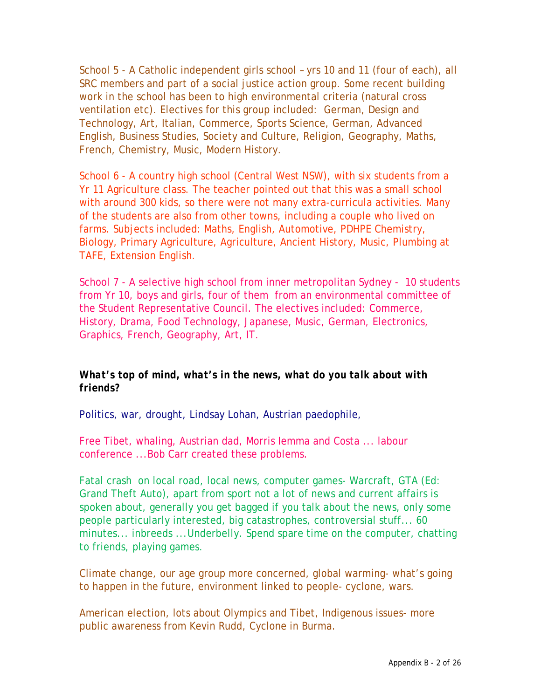School 5 - A Catholic independent girls school – yrs 10 and 11 (four of each), all SRC members and part of a social justice action group. Some recent building work in the school has been to high environmental criteria (natural cross ventilation etc). Electives for this group included: German, Design and Technology, Art, Italian, Commerce, Sports Science, German, Advanced English, Business Studies, Society and Culture, Religion, Geography, Maths, French, Chemistry, Music, Modern History.

School 6 - A country high school (Central West NSW), with six students from a Yr 11 Agriculture class. The teacher pointed out that this was a small school with around 300 kids, so there were not many extra-curricula activities. Many of the students are also from other towns, including a couple who lived on farms. Subjects included: Maths, English, Automotive, PDHPE Chemistry, Biology, Primary Agriculture, Agriculture, Ancient History, Music, Plumbing at TAFE, Extension English.

School 7 - A selective high school from inner metropolitan Sydney - 10 students from Yr 10, boys and girls, four of them from an environmental committee of the Student Representative Council. The electives included: Commerce, History, Drama, Food Technology, Japanese, Music, German, Electronics, Graphics, French, Geography, Art, IT.

#### *What's top of mind, what's in the news, what do you talk about with friends?*

Politics, war, drought, Lindsay Lohan, Austrian paedophile,

Free Tibet, whaling, Austrian dad, Morris Iemma and Costa ... labour conference ...Bob Carr created these problems.

Fatal crash on local road, local news, computer games- Warcraft, GTA (Ed: Grand Theft Auto), apart from sport not a lot of news and current affairs is spoken about, generally you get bagged if you talk about the news, only some people particularly interested, big catastrophes, controversial stuff... 60 minutes... inbreeds ...Underbelly. Spend spare time on the computer, chatting to friends, playing games.

Climate change, our age group more concerned, global warming- what's going to happen in the future, environment linked to people- cyclone, wars.

American election, lots about Olympics and Tibet, Indigenous issues- more public awareness from Kevin Rudd, Cyclone in Burma.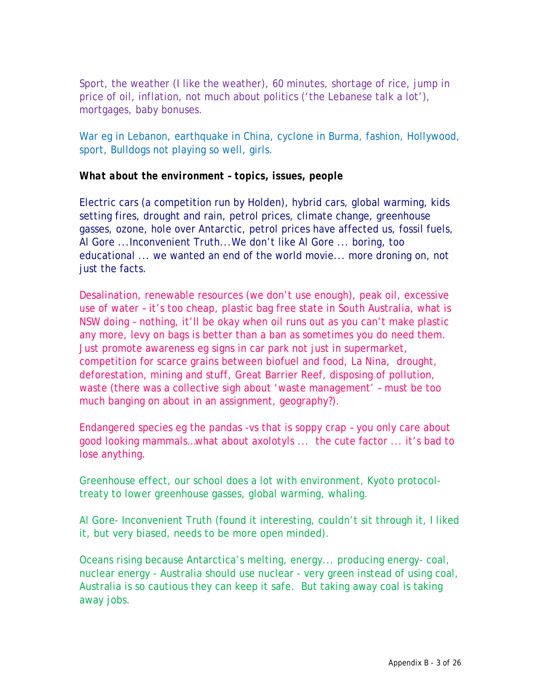Sport, the weather (I like the weather), 60 minutes, shortage of rice, jump in price of oil, inflation, not much about politics ('the Lebanese talk a lot'), mortgages, baby bonuses.

War eg in Lebanon, earthquake in China, cyclone in Burma, fashion, Hollywood, sport, Bulldogs not playing so well, girls.

#### *What about the environment – topics, issues, people*

Electric cars (a competition run by Holden), hybrid cars, global warming, kids setting fires, drought and rain, petrol prices, climate change, greenhouse gasses, ozone, hole over Antarctic, petrol prices have affected us, fossil fuels, Al Gore ...Inconvenient Truth...We don't like Al Gore ... boring, too educational ... we wanted an end of the world movie... more droning on, not just the facts.

Desalination, renewable resources (we don't use enough), peak oil, excessive use of water – it's too cheap, plastic bag free state in South Australia, what is NSW doing – nothing, it'll be okay when oil runs out as you can't make plastic any more, levy on bags is better than a ban as sometimes you do need them. Just promote awareness eg signs in car park not just in supermarket, competition for scarce grains between biofuel and food, La Nina, drought, deforestation, mining and stuff, Great Barrier Reef, disposing of pollution, waste (there was a collective sigh about 'waste management' – must be too much banging on about in an assignment, geography?).

Endangered species eg the pandas -vs that is soppy crap – you only care about good looking mammals…what about axolotyls ... the cute factor ... it's bad to lose anything.

Greenhouse effect, our school does a lot with environment, Kyoto protocoltreaty to lower greenhouse gasses, global warming, whaling.

Al Gore- Inconvenient Truth (found it interesting, couldn't sit through it, I liked it, but very biased, needs to be more open minded).

Oceans rising because Antarctica's melting, energy... producing energy- coal, nuclear energy - Australia should use nuclear - very green instead of using coal, Australia is so cautious they can keep it safe. But taking away coal is taking away jobs.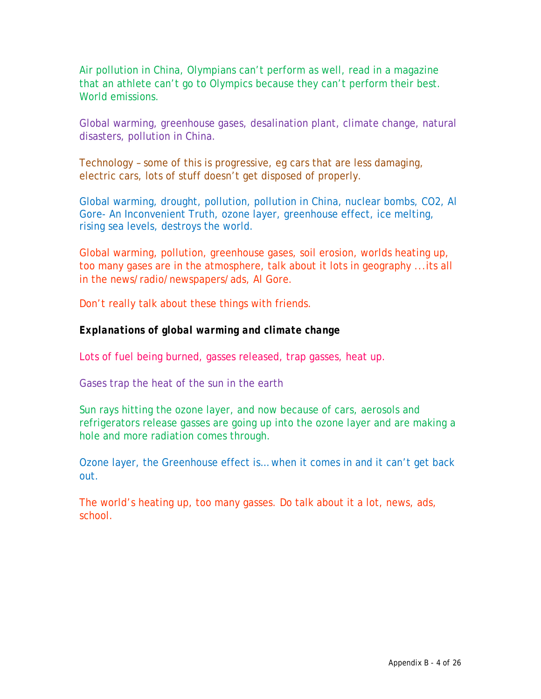Air pollution in China, Olympians can't perform as well, read in a magazine that an athlete can't go to Olympics because they can't perform their best. World emissions.

Global warming, greenhouse gases, desalination plant, climate change, natural disasters, pollution in China.

Technology – some of this is progressive, eg cars that are less damaging, electric cars, lots of stuff doesn't get disposed of properly.

Global warming, drought, pollution, pollution in China, nuclear bombs, CO2, Al Gore- An Inconvenient Truth, ozone layer, greenhouse effect, ice melting, rising sea levels, destroys the world.

Global warming, pollution, greenhouse gases, soil erosion, worlds heating up, too many gases are in the atmosphere, talk about it lots in geography ...its all in the news/radio/newspapers/ads, Al Gore.

Don't really talk about these things with friends.

#### *Explanations of global warming and climate change*

Lots of fuel being burned, gasses released, trap gasses, heat up.

Gases trap the heat of the sun in the earth

Sun rays hitting the ozone layer, and now because of cars, aerosols and refrigerators release gasses are going up into the ozone layer and are making a hole and more radiation comes through.

Ozone layer, the Greenhouse effect is… when it comes in and it can't get back out.

The world's heating up, too many gasses. Do talk about it a lot, news, ads, school.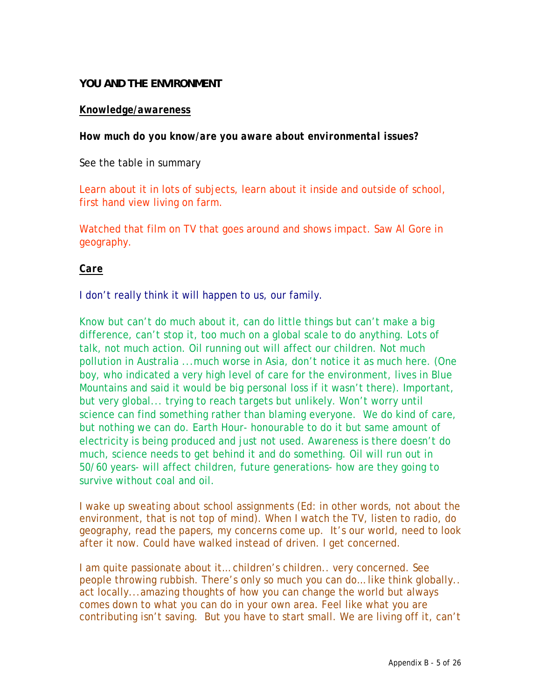#### **YOU AND THE ENVIRONMENT**

#### *Knowledge/awareness*

*How much do you know/are you aware about environmental issues?* 

See the table in summary

Learn about it in lots of subjects, learn about it inside and outside of school, first hand view living on farm.

Watched that film on TV that goes around and shows impact. Saw Al Gore in geography.

#### *Care*

I don't really think it will happen to us, our family.

Know but can't do much about it, can do little things but can't make a big difference, can't stop it, too much on a global scale to do anything. Lots of talk, not much action. Oil running out will affect our children. Not much pollution in Australia ...much worse in Asia, don't notice it as much here. (One boy, who indicated a very high level of care for the environment, lives in Blue Mountains and said it would be big personal loss if it wasn't there). Important, but very global... trying to reach targets but unlikely. Won't worry until science can find something rather than blaming everyone. We do kind of care, but nothing we can do. Earth Hour- honourable to do it but same amount of electricity is being produced and just not used. Awareness is there doesn't do much, science needs to get behind it and do something. Oil will run out in 50/60 years- will affect children, future generations- how are they going to survive without coal and oil.

I wake up sweating about school assignments (Ed: in other words, not about the environment, that is not top of mind). When I watch the TV, listen to radio, do geography, read the papers, my concerns come up. It's our world, need to look after it now. Could have walked instead of driven. I get concerned.

I am quite passionate about it... children's children.. very concerned. See people throwing rubbish. There's only so much you can do… like think globally.. act locally...amazing thoughts of how you can change the world but always comes down to what you can do in your own area. Feel like what you are contributing isn't saving. But you have to start small. We are living off it, can't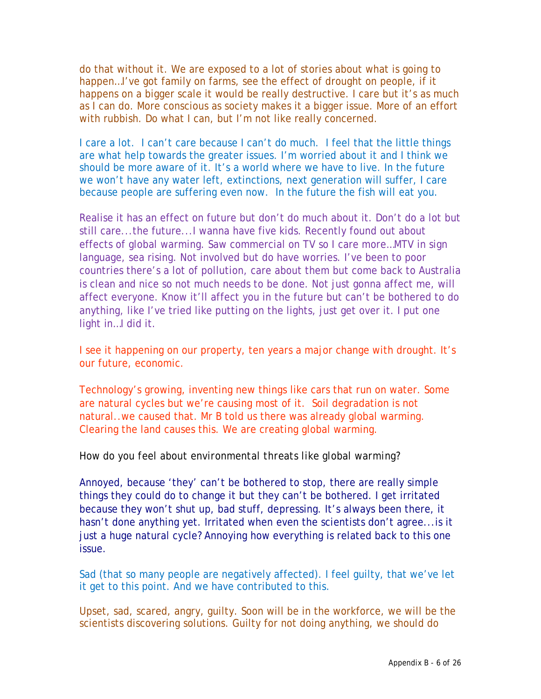do that without it. We are exposed to a lot of stories about what is going to happen...I've got family on farms, see the effect of drought on people, if it happens on a bigger scale it would be really destructive. I care but it's as much as I can do. More conscious as society makes it a bigger issue. More of an effort with rubbish. Do what I can, but I'm not like really concerned.

I care a lot. I can't care because I can't do much. I feel that the little things are what help towards the greater issues. I'm worried about it and I think we should be more aware of it. It's a world where we have to live. In the future we won't have any water left, extinctions, next generation will suffer, I care because people are suffering even now. In the future the fish will eat you.

Realise it has an effect on future but don't do much about it. Don't do a lot but still care...the future...I wanna have five kids. Recently found out about effects of global warming. Saw commercial on TV so I care more…MTV in sign language, sea rising. Not involved but do have worries. I've been to poor countries there's a lot of pollution, care about them but come back to Australia is clean and nice so not much needs to be done. Not just gonna affect me, will affect everyone. Know it'll affect you in the future but can't be bothered to do anything, like I've tried like putting on the lights, just get over it. I put one light in…I did it.

I see it happening on our property, ten years a major change with drought. It's our future, economic.

Technology's growing, inventing new things like cars that run on water. Some are natural cycles but we're causing most of it. Soil degradation is not natural..we caused that. Mr B told us there was already global warming. Clearing the land causes this. We are creating global warming.

#### *How do you feel about environmental threats like global warming?*

Annoyed, because 'they' can't be bothered to stop, there are really simple things they could do to change it but they can't be bothered. I get irritated because they won't shut up, bad stuff, depressing. It's always been there, it hasn't done anything yet. Irritated when even the scientists don't agree...is it just a huge natural cycle? Annoying how everything is related back to this one issue.

Sad (that so many people are negatively affected). I feel guilty, that we've let it get to this point. And we have contributed to this.

Upset, sad, scared, angry, guilty. Soon will be in the workforce, we will be the scientists discovering solutions. Guilty for not doing anything, we should do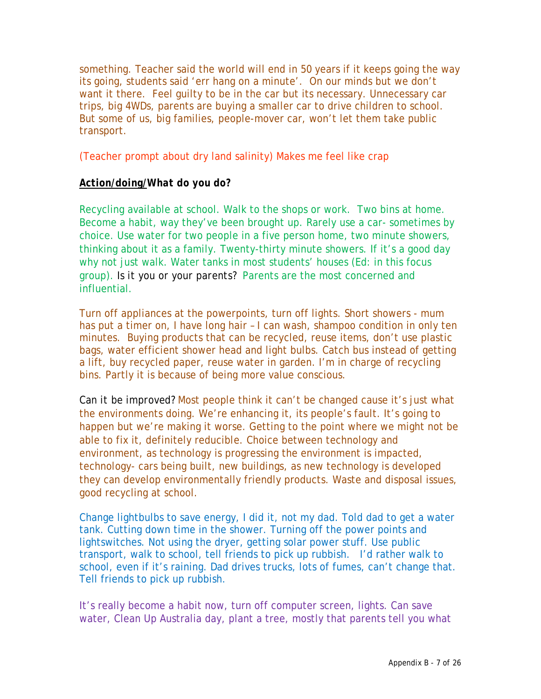something. Teacher said the world will end in 50 years if it keeps going the way its going, students said 'err hang on a minute'. On our minds but we don't want it there. Feel guilty to be in the car but its necessary. Unnecessary car trips, big 4WDs, parents are buying a smaller car to drive children to school. But some of us, big families, people-mover car, won't let them take public transport.

(Teacher prompt about dry land salinity) Makes me feel like crap

#### *Action/doing/What do you do?*

Recycling available at school. Walk to the shops or work. Two bins at home. Become a habit, way they've been brought up. Rarely use a car- sometimes by choice. Use water for two people in a five person home, two minute showers, thinking about it as a family. Twenty-thirty minute showers. If it's a good day why not just walk. Water tanks in most students' houses (Ed: in this focus group). *Is it you or your parents?* Parents are the most concerned and influential.

Turn off appliances at the powerpoints, turn off lights. Short showers - mum has put a timer on, I have long hair – I can wash, shampoo condition in only ten minutes. Buying products that can be recycled, reuse items, don't use plastic bags, water efficient shower head and light bulbs. Catch bus instead of getting a lift, buy recycled paper, reuse water in garden. I'm in charge of recycling bins. Partly it is because of being more value conscious.

*Can it be improved?* Most people think it can't be changed cause it's just what the environments doing. We're enhancing it, its people's fault. It's going to happen but we're making it worse. Getting to the point where we might not be able to fix it, definitely reducible. Choice between technology and environment, as technology is progressing the environment is impacted, technology- cars being built, new buildings, as new technology is developed they can develop environmentally friendly products. Waste and disposal issues, good recycling at school.

Change lightbulbs to save energy, I did it, not my dad. Told dad to get a water tank. Cutting down time in the shower. Turning off the power points and lightswitches. Not using the dryer, getting solar power stuff. Use public transport, walk to school, tell friends to pick up rubbish. I'd rather walk to school, even if it's raining. Dad drives trucks, lots of fumes, can't change that. Tell friends to pick up rubbish.

It's really become a habit now, turn off computer screen, lights. Can save water, Clean Up Australia day, plant a tree, mostly that parents tell you what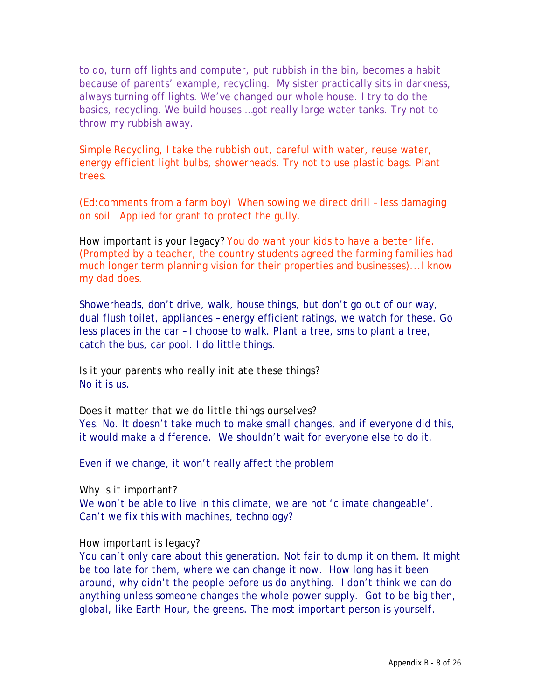to do, turn off lights and computer, put rubbish in the bin, becomes a habit because of parents' example, recycling. My sister practically sits in darkness, always turning off lights. We've changed our whole house. I try to do the basics, recycling. We build houses …got really large water tanks. Try not to throw my rubbish away.

Simple Recycling, I take the rubbish out, careful with water, reuse water, energy efficient light bulbs, showerheads. Try not to use plastic bags. Plant trees.

(Ed:comments from a farm boy) When sowing we direct drill – less damaging on soil Applied for grant to protect the gully.

*How important is your legacy?* You do want your kids to have a better life. (Prompted by a teacher, the country students agreed the farming families had much longer term planning vision for their properties and businesses)...I know my dad does.

Showerheads, don't drive, walk, house things, but don't go out of our way, dual flush toilet, appliances – energy efficient ratings, we watch for these. Go less places in the car – I choose to walk. Plant a tree, sms to plant a tree, catch the bus, car pool. I do little things.

*Is it your parents who really initiate these things?*  No it is us.

*Does it matter that we do little things ourselves*? Yes. No. It doesn't take much to make small changes, and if everyone did this, it would make a difference. We shouldn't wait for everyone else to do it.

Even if we change, it won't really affect the problem

#### *Why is it important?*

We won't be able to live in this climate, we are not 'climate changeable'. Can't we fix this with machines, technology?

#### *How important is legacy?*

You can't only care about this generation. Not fair to dump it on them. It might be too late for them, where we can change it now. How long has it been around, why didn't the people before us do anything. I don't think we can do anything unless someone changes the whole power supply. Got to be big then, global, like Earth Hour, the greens. The most important person is yourself.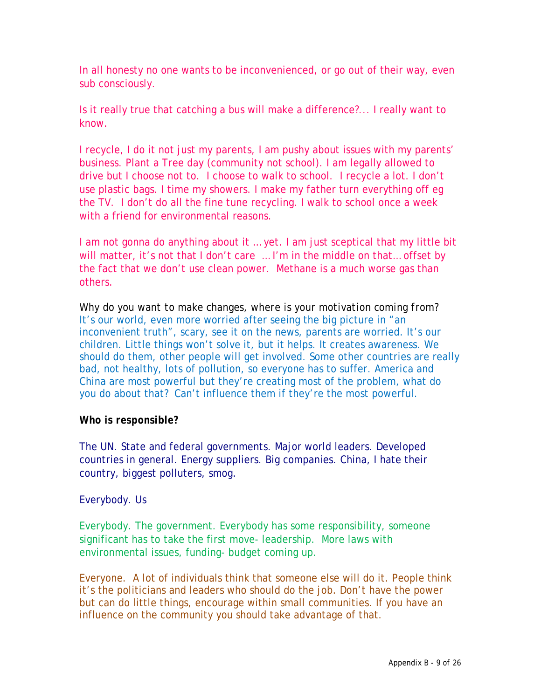In all honesty no one wants to be inconvenienced, or go out of their way, even sub consciously.

Is it really true that catching a bus will make a difference?... I really want to know.

I recycle, I do it not just my parents, I am pushy about issues with my parents' business. Plant a Tree day (community not school). I am legally allowed to drive but I choose not to. I choose to walk to school. I recycle a lot. I don't use plastic bags. I time my showers. I make my father turn everything off eg the TV. I don't do all the fine tune recycling. I walk to school once a week with a friend for environmental reasons.

I am not gonna do anything about it ... yet. I am just sceptical that my little bit will matter, it's not that I don't care ... I'm in the middle on that... offset by the fact that we don't use clean power. Methane is a much worse gas than others.

*Why do you want to make changes, where is your motivation coming from?* It's our world, even more worried after seeing the big picture in "an inconvenient truth", scary, see it on the news, parents are worried. It's our children. Little things won't solve it, but it helps. It creates awareness. We should do them, other people will get involved. Some other countries are really bad, not healthy, lots of pollution, so everyone has to suffer. America and China are most powerful but they're creating most of the problem, what do you do about that? Can't influence them if they're the most powerful.

#### *Who is responsible?*

The UN. State and federal governments. Major world leaders. Developed countries in general. Energy suppliers. Big companies. China, I hate their country, biggest polluters, smog.

#### Everybody. Us

Everybody. The government. Everybody has some responsibility, someone significant has to take the first move- leadership. More laws with environmental issues, funding- budget coming up.

Everyone. A lot of individuals think that someone else will do it. People think it's the politicians and leaders who should do the job. Don't have the power but can do little things, encourage within small communities. If you have an influence on the community you should take advantage of that.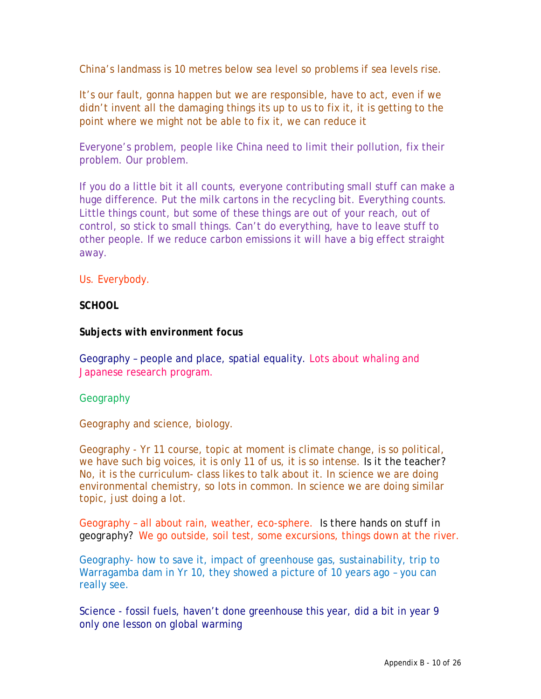China's landmass is 10 metres below sea level so problems if sea levels rise.

It's our fault, gonna happen but we are responsible, have to act, even if we didn't invent all the damaging things its up to us to fix it, it is getting to the point where we might not be able to fix it, we can reduce it

Everyone's problem, people like China need to limit their pollution, fix their problem. Our problem.

If you do a little bit it all counts, everyone contributing small stuff can make a huge difference. Put the milk cartons in the recycling bit. Everything counts. Little things count, but some of these things are out of your reach, out of control, so stick to small things. Can't do everything, have to leave stuff to other people. If we reduce carbon emissions it will have a big effect straight away.

Us. Everybody.

#### *SCHOOL*

#### *Subjects with environment focus*

Geography – people and place, spatial equality. Lots about whaling and Japanese research program.

#### **Geography**

Geography and science, biology.

Geography - Yr 11 course, topic at moment is climate change, is so political, we have such big voices, it is only 11 of us, it is so intense. *Is it the teacher?*  No, it is the curriculum- class likes to talk about it. In science we are doing environmental chemistry, so lots in common. In science we are doing similar topic, just doing a lot.

Geography – all about rain, weather, eco-sphere. *Is there hands on stuff in geography?* We go outside, soil test, some excursions, things down at the river.

Geography- how to save it, impact of greenhouse gas, sustainability, trip to Warragamba dam in Yr 10, they showed a picture of 10 years ago – you can really see.

Science - fossil fuels, haven't done greenhouse this year, did a bit in year 9 only one lesson on global warming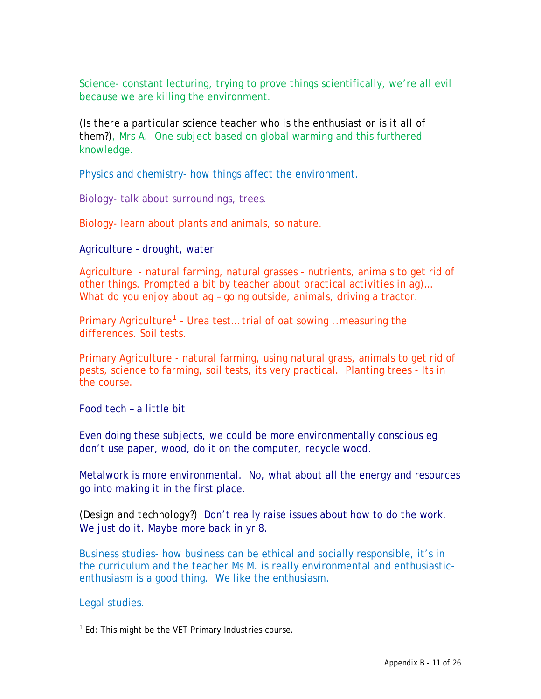Science- constant lecturing, trying to prove things scientifically, we're all evil because we are killing the environment.

*(Is there a particular science teacher who is the enthusiast or is it all of them?)*, Mrs A. One subject based on global warming and this furthered knowledge.

Physics and chemistry- how things affect the environment.

Biology- talk about surroundings, trees.

Biology- learn about plants and animals, so nature.

Agriculture – drought, water

Agriculture - natural farming, natural grasses - nutrients, animals to get rid of other things. *Prompted a bit by teacher about practical activities in ag)… What do you enjoy about ag* – going outside, animals, driving a tractor.

Primary Agriculture<sup>[1](#page-13-0)</sup> - Urea test... trial of oat sowing ..measuring the differences. Soil tests.

Primary Agriculture - natural farming, using natural grass, animals to get rid of pests, science to farming, soil tests, its very practical. Planting trees - Its in the course.

Food tech – a little bit

Even doing these subjects, we could be more environmentally conscious eg don't use paper, wood, do it on the computer, recycle wood.

Metalwork is more environmental. No, what about all the energy and resources go into making it in the first place.

*(Design and technology?)* Don't really raise issues about how to do the work. We just do it. Maybe more back in yr 8.

Business studies- how business can be ethical and socially responsible, it's in the curriculum and the teacher Ms M. is really environmental and enthusiasticenthusiasm is a good thing. We like the enthusiasm.

Legal studies.

<span id="page-13-0"></span> $1$  Ed: This might be the VET Primary Industries course.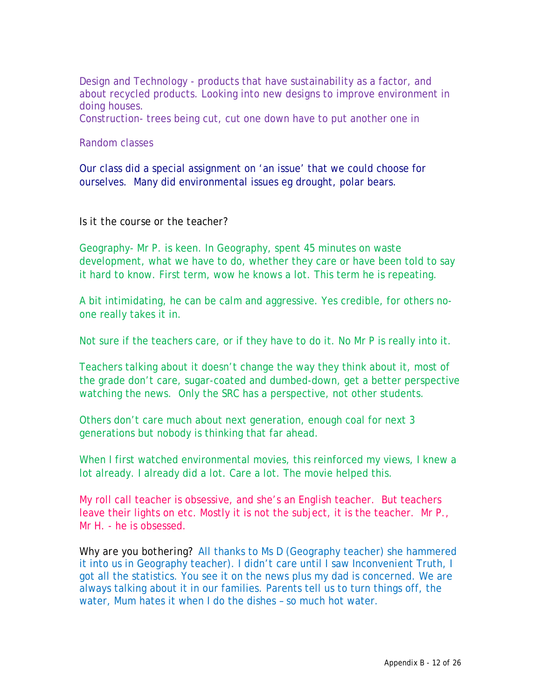Design and Technology - products that have sustainability as a factor, and about recycled products. Looking into new designs to improve environment in doing houses.

Construction- trees being cut, cut one down have to put another one in

#### Random classes

Our class did a special assignment on 'an issue' that we could choose for ourselves. Many did environmental issues eg drought, polar bears.

#### *Is it the course or the teacher?*

Geography- Mr P. is keen. In Geography, spent 45 minutes on waste development, what we have to do, whether they care or have been told to say it hard to know. First term, wow he knows a lot. This term he is repeating.

A bit intimidating, he can be calm and aggressive. Yes credible, for others noone really takes it in.

Not sure if the teachers care, or if they have to do it. No Mr P is really into it.

Teachers talking about it doesn't change the way they think about it, most of the grade don't care, sugar-coated and dumbed-down, get a better perspective watching the news. Only the SRC has a perspective, not other students.

Others don't care much about next generation, enough coal for next 3 generations but nobody is thinking that far ahead.

When I first watched environmental movies, this reinforced my views, I knew a lot already. I already did a lot. Care a lot. The movie helped this.

My roll call teacher is obsessive, and she's an English teacher. But teachers leave their lights on etc. Mostly it is not the subject, it is the teacher. Mr P., Mr H. - he is obsessed.

*Why are you bothering*? All thanks to Ms D (Geography teacher) she hammered it into us in Geography teacher). I didn't care until I saw Inconvenient Truth, I got all the statistics. You see it on the news plus my dad is concerned. We are always talking about it in our families. Parents tell us to turn things off, the water, Mum hates it when I do the dishes – so much hot water.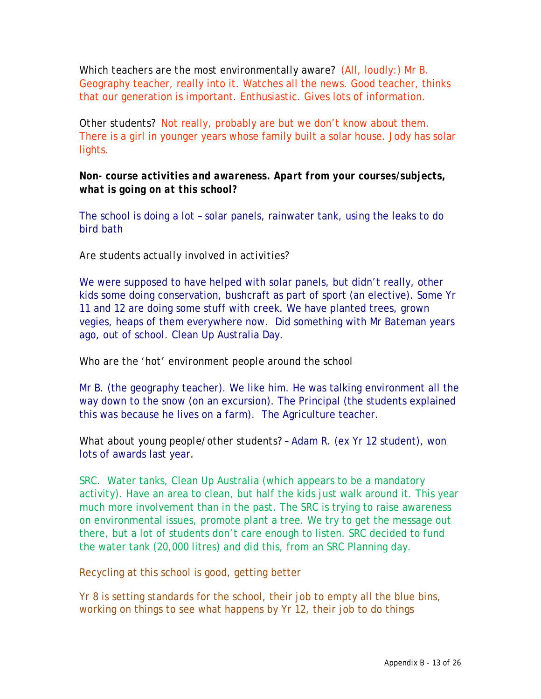*Which teachers are the most environmentally aware?* (All, loudly:) Mr B. Geography teacher, really into it. Watches all the news. Good teacher, thinks that our generation is important. Enthusiastic. Gives lots of information.

*Other students?* Not really, probably are but we don't know about them. There is a girl in younger years whose family built a solar house. Jody has solar lights.

*Non- course activities and awareness. Apart from your courses/subjects, what is going on at this school?* 

The school is doing a lot – solar panels, rainwater tank, using the leaks to do bird bath

#### *Are students actually involved in activities?*

We were supposed to have helped with solar panels, but didn't really, other kids some doing conservation, bushcraft as part of sport (an elective). Some Yr 11 and 12 are doing some stuff with creek. We have planted trees, grown vegies, heaps of them everywhere now. Did something with Mr Bateman years ago, out of school. Clean Up Australia Day.

#### *Who are the 'hot' environment people around the school*

Mr B. (the geography teacher). We like him. He was talking environment all the way down to the snow (on an excursion). The Principal (the students explained this was because he lives on a farm). The Agriculture teacher.

*What about young people/other students?* – Adam R. (ex Yr 12 student), won lots of awards last year.

SRC. Water tanks, Clean Up Australia (which appears to be a mandatory activity). Have an area to clean, but half the kids just walk around it. This year much more involvement than in the past. The SRC is trying to raise awareness on environmental issues, promote plant a tree. We try to get the message out there, but a lot of students don't care enough to listen. SRC decided to fund the water tank (20,000 litres) and did this, from an SRC Planning day.

Recycling at this school is good, getting better

Yr 8 is setting standards for the school, their job to empty all the blue bins, working on things to see what happens by Yr 12, their job to do things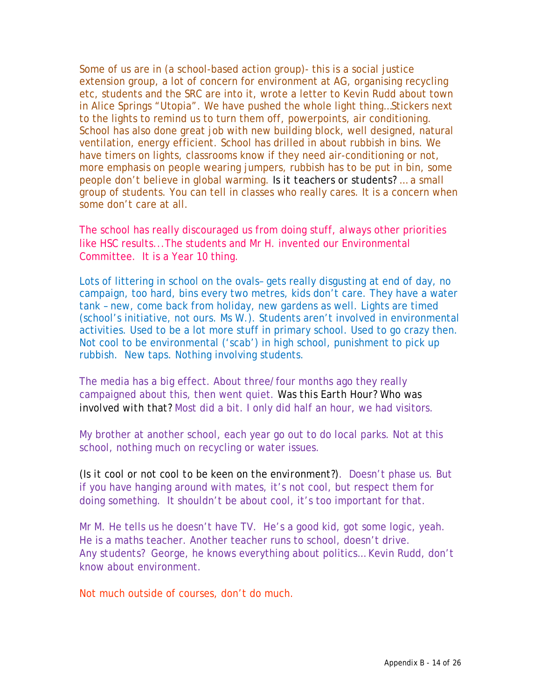Some of us are in (a school-based action group)- this is a social justice extension group, a lot of concern for environment at AG, organising recycling etc, students and the SRC are into it, wrote a letter to Kevin Rudd about town in Alice Springs "Utopia". We have pushed the whole light thing…Stickers next to the lights to remind us to turn them off, powerpoints, air conditioning. School has also done great job with new building block, well designed, natural ventilation, energy efficient. School has drilled in about rubbish in bins. We have timers on lights, classrooms know if they need air-conditioning or not, more emphasis on people wearing jumpers, rubbish has to be put in bin, some people don't believe in global warming. *Is it teachers or students?* … a small group of students. You can tell in classes who really cares. It is a concern when some don't care at all.

The school has really discouraged us from doing stuff, always other priorities like HSC results...The students and Mr H. invented our Environmental Committee. It is a Year 10 thing.

Lots of littering in school on the ovals– gets really disgusting at end of day, no campaign, too hard, bins every two metres, kids don't care. They have a water tank – new, come back from holiday, new gardens as well. Lights are timed (school's initiative, not ours. Ms W.). Students aren't involved in environmental activities. Used to be a lot more stuff in primary school. Used to go crazy then. Not cool to be environmental ('scab') in high school, punishment to pick up rubbish. New taps. Nothing involving students.

The media has a big effect. About three/four months ago they really campaigned about this, then went quiet. *Was this Earth Hour? Who was involved with that?* Most did a bit. I only did half an hour, we had visitors.

My brother at another school, each year go out to do local parks. Not at this school, nothing much on recycling or water issues.

*(Is it cool or not cool to be keen on the environment?)*. Doesn't phase us. But if you have hanging around with mates, it's not cool, but respect them for doing something. It shouldn't be about cool, it's too important for that.

Mr M. He tells us he doesn't have TV. He's a good kid, got some logic, yeah. He is a maths teacher. Another teacher runs to school, doesn't drive. *Any students?* George, he knows everything about politics… Kevin Rudd, don't know about environment.

Not much outside of courses, don't do much.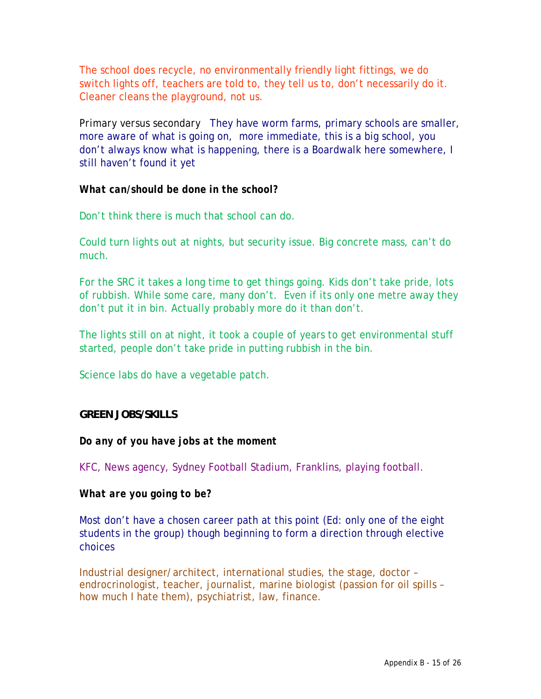The school does recycle, no environmentally friendly light fittings, we do switch lights off, teachers are told to, they tell us to, don't necessarily do it. Cleaner cleans the playground, not us.

*Primary versus secondary* They have worm farms, primary schools are smaller, more aware of what is going on, more immediate, this is a big school, you don't always know what is happening, there is a Boardwalk here somewhere, I still haven't found it yet

#### *What can/should be done in the school?*

Don't think there is much that school can do.

Could turn lights out at nights, but security issue. Big concrete mass, can't do much.

For the SRC it takes a long time to get things going. Kids don't take pride, lots of rubbish. While some care, many don't. Even if its only one metre away they don't put it in bin. Actually probably more do it than don't.

The lights still on at night, it took a couple of years to get environmental stuff started, people don't take pride in putting rubbish in the bin.

Science labs do have a vegetable patch.

#### **GREEN JOBS/SKILLS**

#### *Do any of you have jobs at the moment*

KFC, News agency, Sydney Football Stadium, Franklins, playing football.

#### *What are you going to be?*

Most don't have a chosen career path at this point (Ed: only one of the eight students in the group) though beginning to form a direction through elective choices

Industrial designer/architect, international studies, the stage, doctor – endrocrinologist, teacher, journalist, marine biologist (passion for oil spills – how much I hate them), psychiatrist, law, finance.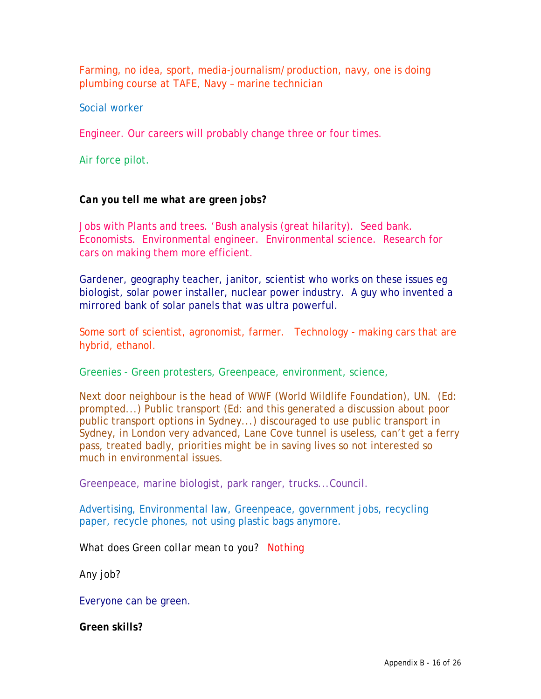Farming, no idea, sport, media-journalism/production, navy, one is doing plumbing course at TAFE, Navy – marine technician

Social worker

Engineer. Our careers will probably change three or four times.

Air force pilot.

#### *Can you tell me what are green jobs?*

Jobs with Plants and trees. 'Bush analysis (great hilarity). Seed bank. Economists. Environmental engineer. Environmental science. Research for cars on making them more efficient.

Gardener, geography teacher, janitor, scientist who works on these issues eg biologist, solar power installer, nuclear power industry. A guy who invented a mirrored bank of solar panels that was ultra powerful.

Some sort of scientist, agronomist, farmer. Technology - making cars that are hybrid, ethanol.

Greenies - Green protesters, Greenpeace, environment, science,

Next door neighbour is the head of WWF (World Wildlife Foundation), UN. (Ed: prompted...) Public transport (Ed: and this generated a discussion about poor public transport options in Sydney...) discouraged to use public transport in Sydney, in London very advanced, Lane Cove tunnel is useless, can't get a ferry pass, treated badly, priorities might be in saving lives so not interested so much in environmental issues.

Greenpeace, marine biologist, park ranger, trucks...Council.

Advertising, Environmental law, Greenpeace, government jobs, recycling paper, recycle phones, not using plastic bags anymore.

*What does Green collar mean to you?* Nothing

*Any job?*

Everyone can be green.

*Green skills?*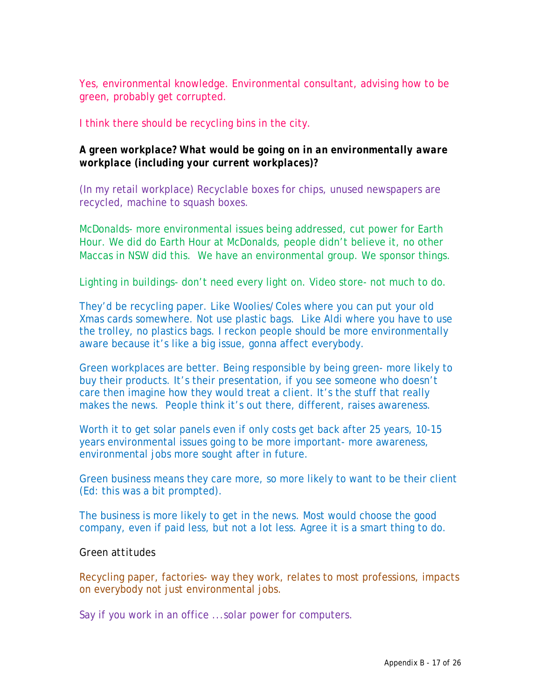Yes, environmental knowledge. Environmental consultant, advising how to be green, probably get corrupted.

I think there should be recycling bins in the city.

### *A green workplace? What would be going on in an environmentally aware workplace (including your current workplaces)?*

(In my retail workplace) Recyclable boxes for chips, unused newspapers are recycled, machine to squash boxes.

McDonalds- more environmental issues being addressed, cut power for Earth Hour. We did do Earth Hour at McDonalds, people didn't believe it, no other Maccas in NSW did this. We have an environmental group. We sponsor things.

Lighting in buildings- don't need every light on. Video store- not much to do.

They'd be recycling paper. Like Woolies/Coles where you can put your old Xmas cards somewhere. Not use plastic bags. Like Aldi where you have to use the trolley, no plastics bags. I reckon people should be more environmentally aware because it's like a big issue, gonna affect everybody.

Green workplaces are better. Being responsible by being green- more likely to buy their products. It's their presentation, if you see someone who doesn't care then imagine how they would treat a client. It's the stuff that really makes the news. People think it's out there, different, raises awareness.

Worth it to get solar panels even if only costs get back after 25 years, 10-15 years environmental issues going to be more important- more awareness, environmental jobs more sought after in future.

Green business means they care more, so more likely to want to be their client (Ed: this was a bit prompted).

The business is more likely to get in the news. Most would choose the good company, even if paid less, but not a lot less. Agree it is a smart thing to do.

#### *Green attitudes*

Recycling paper, factories- way they work, relates to most professions, impacts on everybody not just environmental jobs.

Say if you work in an office ...solar power for computers.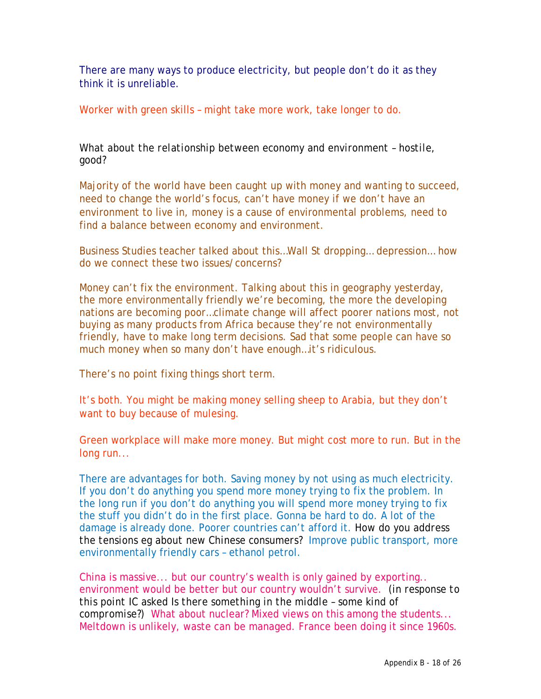There are many ways to produce electricity, but people don't do it as they think it is unreliable.

Worker with green skills – might take more work, take longer to do.

*What about the relationship between economy and environment – hostile, good?* 

Majority of the world have been caught up with money and wanting to succeed, need to change the world's focus, can't have money if we don't have an environment to live in, money is a cause of environmental problems, need to find a balance between economy and environment.

Business Studies teacher talked about this…Wall St dropping… depression… how do we connect these two issues/concerns?

Money can't fix the environment. Talking about this in geography yesterday, the more environmentally friendly we're becoming, the more the developing nations are becoming poor…climate change will affect poorer nations most, not buying as many products from Africa because they're not environmentally friendly, have to make long term decisions. Sad that some people can have so much money when so many don't have enough...it's ridiculous.

There's no point fixing things short term.

It's both. You might be making money selling sheep to Arabia, but they don't want to buy because of mulesing.

Green workplace will make more money. But might cost more to run. But in the long run...

There are advantages for both. Saving money by not using as much electricity. If you don't do anything you spend more money trying to fix the problem. In the long run if you don't do anything you will spend more money trying to fix the stuff you didn't do in the first place. Gonna be hard to do. A lot of the damage is already done. Poorer countries can't afford it. *How do you address the tensions eg about new Chinese consumers?* Improve public transport, more environmentally friendly cars – ethanol petrol.

China is massive... but our country's wealth is only gained by exporting.. environment would be better but our country wouldn't survive. (*in response to this point IC asked Is there something in the middle – some kind of compromise?)* What about nuclear? Mixed views on this among the students... Meltdown is unlikely, waste can be managed. France been doing it since 1960s.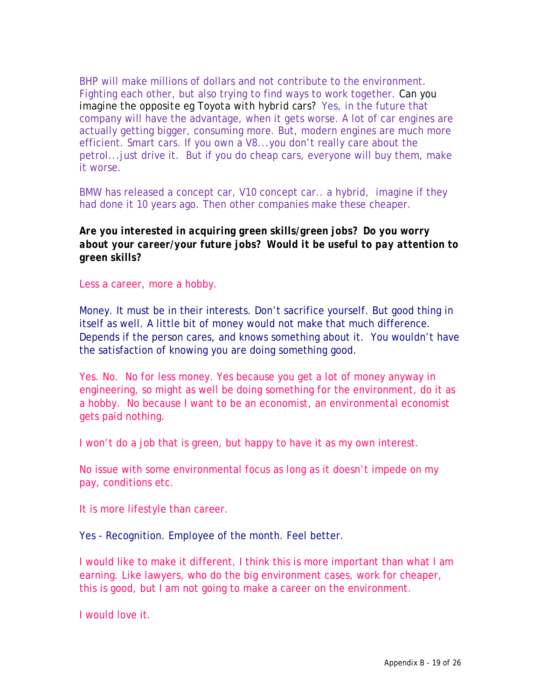BHP will make millions of dollars and not contribute to the environment. Fighting each other, but also trying to find ways to work together. *Can you imagine the opposite eg Toyota with hybrid cars?* Yes, in the future that company will have the advantage, when it gets worse. A lot of car engines are actually getting bigger, consuming more. But, modern engines are much more efficient. Smart cars. If you own a V8...you don't really care about the petrol...just drive it. But if you do cheap cars, everyone will buy them, make it worse.

BMW has released a concept car, V10 concept car.. a hybrid, imagine if they had done it 10 years ago. Then other companies make these cheaper.

#### *Are you interested in acquiring green skills/green jobs? Do you worry about your career/your future jobs? Would it be useful to pay attention to green skills?*

Less a career, more a hobby.

Money. It must be in their interests. Don't sacrifice yourself. But good thing in itself as well. A little bit of money would not make that much difference. Depends if the person cares, and knows something about it. You wouldn't have the satisfaction of knowing you are doing something good.

Yes. No. No for less money. Yes because you get a lot of money anyway in engineering, so might as well be doing something for the environment, do it as a hobby. No because I want to be an economist, an environmental economist gets paid nothing.

I won't do a job that is green, but happy to have it as my own interest.

No issue with some environmental focus as long as it doesn't impede on my pay, conditions etc.

It is more lifestyle than career.

Yes - Recognition. Employee of the month. Feel better.

I would like to make it different, I think this is more important than what I am earning. Like lawyers, who do the big environment cases, work for cheaper, this is good, but I am not going to make a career on the environment.

I would love it.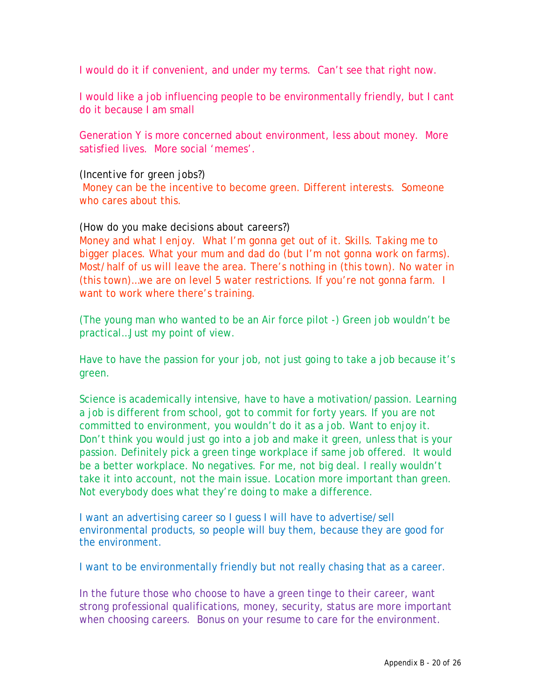I would do it if convenient, and under my terms. Can't see that right now.

I would like a job influencing people to be environmentally friendly, but I cant do it because I am small

Generation Y is more concerned about environment, less about money. More satisfied lives. More social 'memes'.

#### *(Incentive for green jobs?)*

 Money can be the incentive to become green. Different interests. Someone who cares about this.

#### *(How do you make decisions about careers?)*

Money and what I enjoy. What I'm gonna get out of it. Skills. Taking me to bigger places. What your mum and dad do (but I'm not gonna work on farms). Most/half of us will leave the area. There's nothing in (this town). No water in (this town)…we are on level 5 water restrictions. If you're not gonna farm. I want to work where there's training.

(The young man who wanted to be an Air force pilot -) Green job wouldn't be practical…Just my point of view.

Have to have the passion for your job, not just going to take a job because it's green.

Science is academically intensive, have to have a motivation/passion. Learning a job is different from school, got to commit for forty years. If you are not committed to environment, you wouldn't do it as a job. Want to enjoy it. Don't think you would just go into a job and make it green, unless that is your passion. Definitely pick a green tinge workplace if same job offered. It would be a better workplace. No negatives. For me, not big deal. I really wouldn't take it into account, not the main issue. Location more important than green. Not everybody does what they're doing to make a difference.

I want an advertising career so I guess I will have to advertise/sell environmental products, so people will buy them, because they are good for the environment.

I want to be environmentally friendly but not really chasing that as a career.

In the future those who choose to have a green tinge to their career, want strong professional qualifications, money, security, status are more important when choosing careers. Bonus on your resume to care for the environment.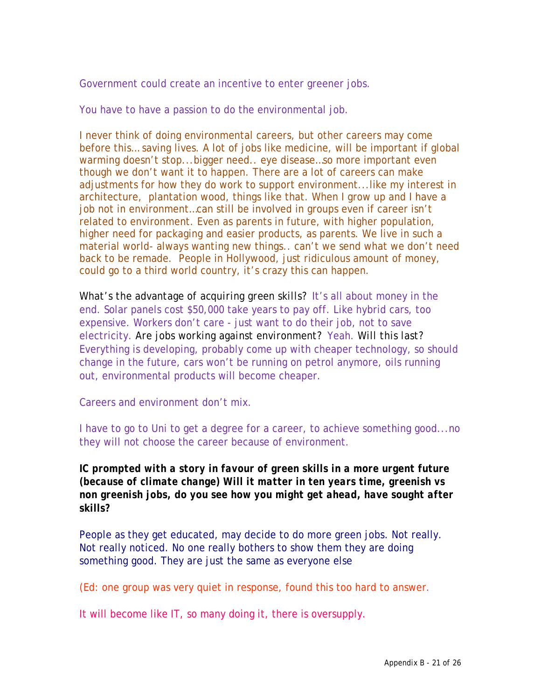Government could create an incentive to enter greener jobs.

You have to have a passion to do the environmental job.

I never think of doing environmental careers, but other careers may come before this… saving lives. A lot of jobs like medicine, will be important if global warming doesn't stop...bigger need.. eye disease...so more important even though we don't want it to happen. There are a lot of careers can make adjustments for how they do work to support environment...like my interest in architecture, plantation wood, things like that. When I grow up and I have a job not in environment…can still be involved in groups even if career isn't related to environment. Even as parents in future, with higher population, higher need for packaging and easier products, as parents. We live in such a material world- always wanting new things.. can't we send what we don't need back to be remade. People in Hollywood, just ridiculous amount of money, could go to a third world country, it's crazy this can happen.

*What's the advantage of acquiring green skills*? It's all about money in the end. Solar panels cost \$50,000 take years to pay off. Like hybrid cars, too expensive. Workers don't care - just want to do their job, not to save electricity. *Are jobs working against environment?* Yeah. *Will this last?* Everything is developing, probably come up with cheaper technology, so should change in the future, cars won't be running on petrol anymore, oils running out, environmental products will become cheaper.

Careers and environment don't mix.

I have to go to Uni to get a degree for a career, to achieve something good...no they will not choose the career because of environment.

### *IC prompted with a story in favour of green skills in a more urgent future (because of climate change) Will it matter in ten years time, greenish vs non greenish jobs, do you see how you might get ahead, have sought after skills?*

People as they get educated, may decide to do more green jobs. Not really. Not really noticed. No one really bothers to show them they are doing something good. They are just the same as everyone else

(Ed: one group was very quiet in response, found this too hard to answer.

It will become like IT, so many doing it, there is oversupply.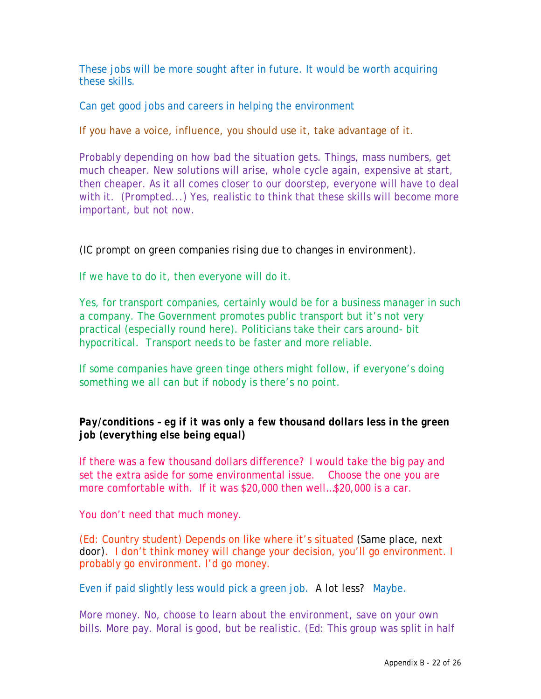These jobs will be more sought after in future. It would be worth acquiring these skills.

Can get good jobs and careers in helping the environment

If you have a voice, influence, you should use it, take advantage of it.

Probably depending on how bad the situation gets. Things, mass numbers, get much cheaper. New solutions will arise, whole cycle again, expensive at start, then cheaper. As it all comes closer to our doorstep, everyone will have to deal with it. *(Prompted...)* Yes, realistic to think that these skills will become more important, but not now.

## *(IC prompt on green companies rising due to changes in environment).*

If we have to do it, then everyone will do it.

Yes, for transport companies, certainly would be for a business manager in such a company. The Government promotes public transport but it's not very practical (especially round here). Politicians take their cars around- bit hypocritical. Transport needs to be faster and more reliable.

If some companies have green tinge others might follow, if everyone's doing something we all can but if nobody is there's no point.

## *Pay/conditions – eg if it was only a few thousand dollars less in the green job (everything else being equal)*

If there was a few thousand dollars difference? I would take the big pay and set the extra aside for some environmental issue. Choose the one you are more comfortable with. If it was \$20,000 then well…\$20,000 is a car.

You don't need that much money.

(Ed: Country student) Depends on like where it's situated *(Same place, next door)*. I don't think money will change your decision, you'll go environment. I probably go environment. I'd go money.

Even if paid slightly less would pick a green job. *A lot less?* Maybe.

More money. No, choose to learn about the environment, save on your own bills. More pay. Moral is good, but be realistic. (Ed: This group was split in half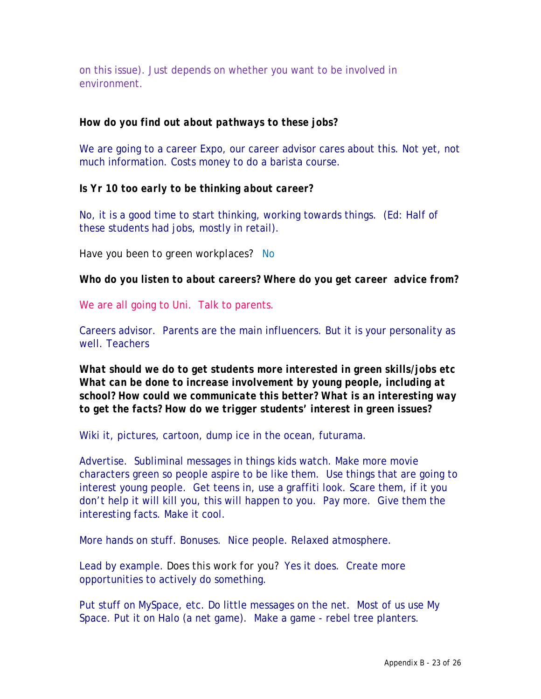on this issue). Just depends on whether you want to be involved in environment.

#### *How do you find out about pathways to these jobs?*

We are going to a career Expo, our career advisor cares about this. Not yet, not much information. Costs money to do a barista course.

*Is Yr 10 too early to be thinking about career?* 

No, it is a good time to start thinking, working towards things. (Ed: Half of these students had jobs, mostly in retail).

*Have you been to green workplaces?* No

*Who do you listen to about careers? Where do you get career advice from?* 

We are all going to Uni. Talk to parents.

Careers advisor. Parents are the main influencers. But it is your personality as well. Teachers

*What should we do to get students more interested in green skills/jobs etc What can be done to increase involvement by young people, including at school? How could we communicate this better? What is an interesting way to get the facts? How do we trigger students' interest in green issues?* 

*W*iki it, pictures, cartoon, dump ice in the ocean, futurama.

Advertise. Subliminal messages in things kids watch. Make more movie characters green so people aspire to be like them. Use things that are going to interest young people. Get teens in, use a graffiti look. Scare them, if it you don't help it will kill you, this will happen to you. Pay more. Give them the interesting facts. Make it cool.

More hands on stuff. Bonuses. Nice people. Relaxed atmosphere.

Lead by example. *Does this work for you?* Yes it does. Create more opportunities to actively do something.

Put stuff on MySpace, etc. Do little messages on the net. Most of us use My Space. Put it on Halo (a net game). Make a game - rebel tree planters.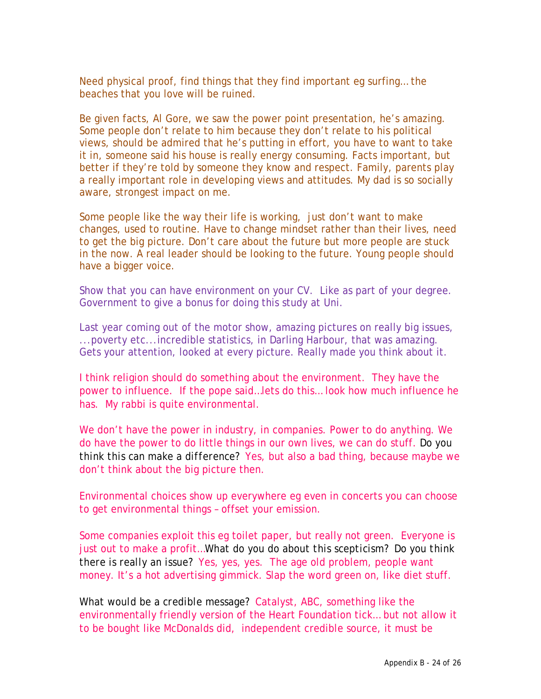Need physical proof, find things that they find important eg surfing… the beaches that you love will be ruined.

Be given facts, Al Gore, we saw the power point presentation, he's amazing. Some people don't relate to him because they don't relate to his political views, should be admired that he's putting in effort, you have to want to take it in, someone said his house is really energy consuming. Facts important, but better if they're told by someone they know and respect. Family, parents play a really important role in developing views and attitudes. My dad is so socially aware, strongest impact on me.

Some people like the way their life is working, just don't want to make changes, used to routine. Have to change mindset rather than their lives, need to get the big picture. Don't care about the future but more people are stuck in the now. A real leader should be looking to the future. Young people should have a bigger voice.

Show that you can have environment on your CV. Like as part of your degree. Government to give a bonus for doing this study at Uni.

Last year coming out of the motor show, amazing pictures on really big issues, ...poverty etc...incredible statistics, in Darling Harbour, that was amazing. Gets your attention, looked at every picture. Really made you think about it.

I think religion should do something about the environment. They have the power to influence. If the pope said…lets do this… look how much influence he has. My rabbi is quite environmental.

We don't have the power in industry, in companies. Power to do anything. We do have the power to do little things in our own lives, we can do stuff. *Do you think this can make a difference?* Yes, but also a bad thing, because maybe we don't think about the big picture then.

Environmental choices show up everywhere eg even in concerts you can choose to get environmental things – offset your emission.

Some companies exploit this eg toilet paper, but really not green. Everyone is just out to make a profit…*What do you do about this scepticism? Do you think there is really an issue*? Yes, yes, yes. The age old problem, people want money. It's a hot advertising gimmick. Slap the word green on, like diet stuff.

*What would be a credible message?* Catalyst, ABC, something like the environmentally friendly version of the Heart Foundation tick… but not allow it to be bought like McDonalds did, independent credible source, it must be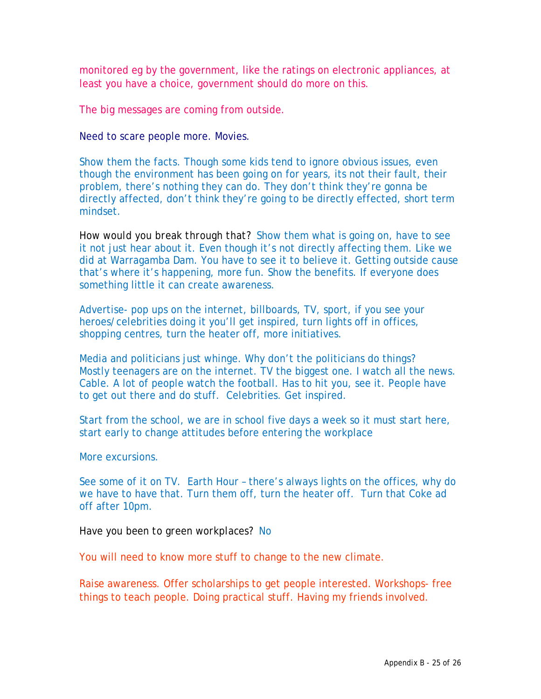monitored eg by the government, like the ratings on electronic appliances, at least you have a choice, government should do more on this.

The big messages are coming from outside.

Need to scare people more. Movies.

Show them the facts. Though some kids tend to ignore obvious issues, even though the environment has been going on for years, its not their fault, their problem, there's nothing they can do. They don't think they're gonna be directly affected, don't think they're going to be directly effected, short term mindset.

*How would you break through that?* Show them what is going on, have to see it not just hear about it. Even though it's not directly affecting them. Like we did at Warragamba Dam. You have to see it to believe it. Getting outside cause that's where it's happening, more fun. Show the benefits. If everyone does something little it can create awareness.

Advertise- pop ups on the internet, billboards, TV, sport, if you see your heroes/celebrities doing it you'll get inspired, turn lights off in offices, shopping centres, turn the heater off, more initiatives.

Media and politicians just whinge. Why don't the politicians do things? Mostly teenagers are on the internet. TV the biggest one. I watch all the news. Cable. A lot of people watch the football. Has to hit you, see it. People have to get out there and do stuff. Celebrities. Get inspired.

Start from the school, we are in school five days a week so it must start here, start early to change attitudes before entering the workplace

More excursions.

See some of it on TV. Earth Hour – there's always lights on the offices, why do we have to have that. Turn them off, turn the heater off. Turn that Coke ad off after 10pm.

*Have you been to green workplaces?* No

You will need to know more stuff to change to the new climate.

Raise awareness. Offer scholarships to get people interested. Workshops- free things to teach people. Doing practical stuff. Having my friends involved.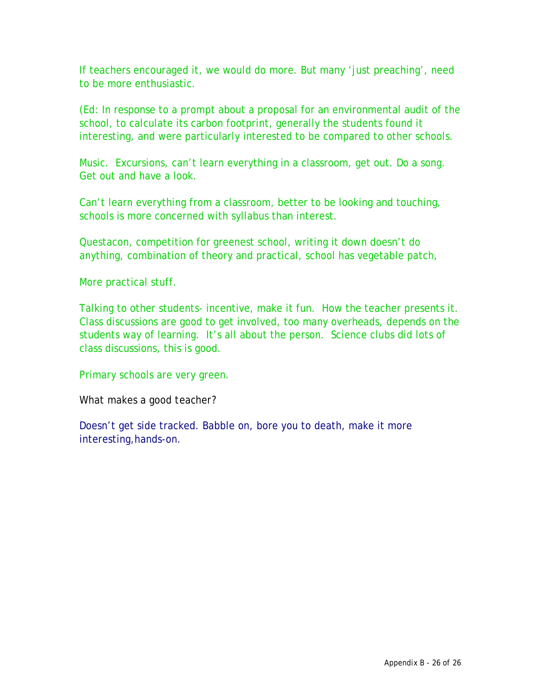If teachers encouraged it, we would do more. But many 'just preaching', need to be more enthusiastic.

(Ed: In response to a prompt about a proposal for an environmental audit of the school, to calculate its carbon footprint, generally the students found it interesting, and were particularly interested to be compared to other schools.

Music. Excursions, can't learn everything in a classroom, get out. Do a song. Get out and have a look.

Can't learn everything from a classroom, better to be looking and touching, schools is more concerned with syllabus than interest.

Questacon, competition for greenest school, writing it down doesn't do anything, combination of theory and practical, school has vegetable patch,

More practical stuff.

Talking to other students- incentive, make it fun. How the teacher presents it. Class discussions are good to get involved, too many overheads, depends on the students way of learning. It's all about the person. Science clubs did lots of class discussions, this is good.

Primary schools are very green.

W*hat makes a good teacher?* 

Doesn't get side tracked. Babble on, bore you to death, make it more interesting,hands-on.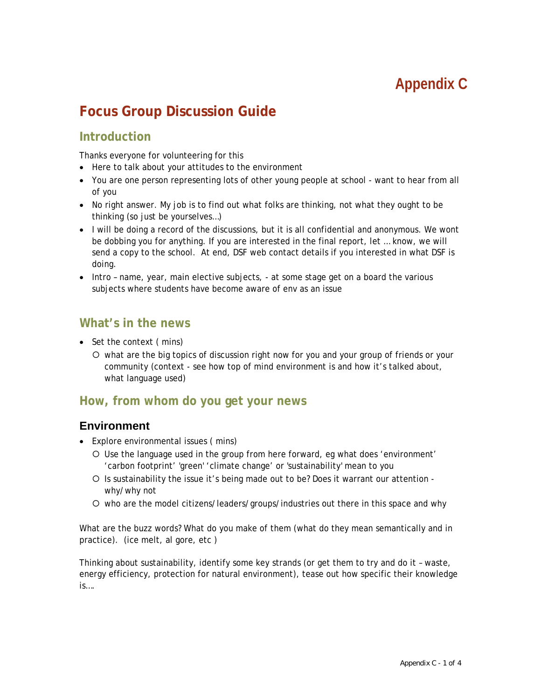# **Appendix C**

# **Focus Group Discussion Guide**

# **Introduction**

Thanks everyone for volunteering for this

- Here to talk about your attitudes to the environment
- You are one person representing lots of other young people at school want to hear from all of you
- No right answer. My job is to find out what folks are thinking, not what they ought to be thinking (so just be yourselves…)
- I will be doing a record of the discussions, but it is all confidential and anonymous. We wont be dobbing you for anything. If you are interested in the final report, let … know, we will send a copy to the school. At end, DSF web contact details if you interested in what DSF is doing.
- Intro name, year, main elective subjects, at some stage get on a board the various subjects where students have become aware of env as an issue

#### **What's in the news**

- Set the context (mins)
	- { what are the big topics of discussion right now for you and your group of friends or your community (context - see how top of mind environment is and how it's talked about, what language used)

### **How, from whom do you get your news**

#### **Environment**

- Explore environmental issues ( mins)
	- { Use the language used in the group from here forward, eg what does 'environment' 'carbon footprint' 'green' 'climate change' or 'sustainability' mean to you
	- { Is sustainability the issue it's being made out to be? Does it warrant our attention why/why not
	- { who are the model citizens/leaders/groups/industries out there in this space and why

What are the buzz words? What do you make of them (what do they mean semantically and in practice). (ice melt, al gore, etc )

Thinking about sustainability, identify some key strands (or get them to try and do it – waste, energy efficiency, protection for natural environment), tease out how specific their knowledge is….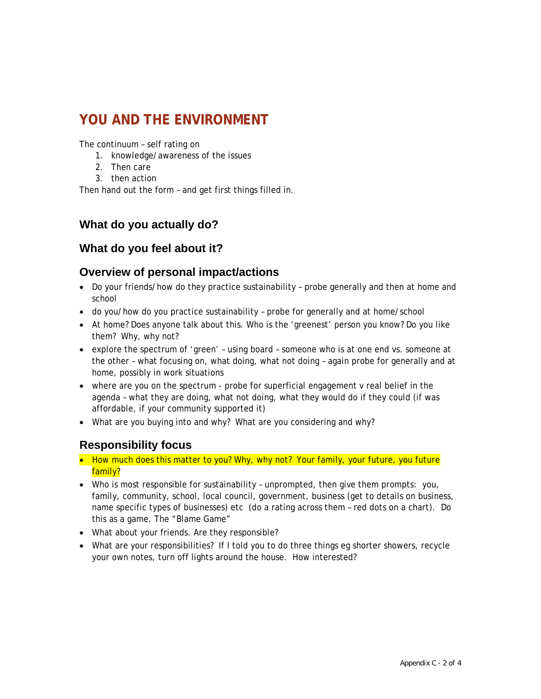# **YOU AND THE ENVIRONMENT**

The continuum – self rating on

- 1. knowledge/awareness of the issues
- 2. Then care
- 3. then action

Then hand out the form – and get first things filled in.

#### **What do you actually do?**

#### **What do you feel about it?**

#### **Overview of personal impact/actions**

- Do your friends/how do they practice sustainability probe generally and then at home and school
- do you/how do you practice sustainability probe for generally and at home/school
- At home? Does anyone talk about this. Who is the 'greenest' person you know? Do you like them? Why, why not?
- explore the spectrum of 'green' using board someone who is at one end vs. someone at the other – what focusing on, what doing, what not doing – again probe for generally and at home, possibly in work situations
- where are you on the spectrum probe for superficial engagement v real belief in the agenda – what they are doing, what not doing, what they would do if they could (if was affordable, if your community supported it)
- What are you buying into and why? What are you considering and why?

#### **Responsibility focus**

- How much does this matter to you? Why, why not? Your family, your future, you future family?
- Who is most responsible for sustainability unprompted, then give them prompts: you, family, community, school, local council, government, business (get to details on business, name specific types of businesses) etc (do a rating across them – red dots on a chart). Do this as a game. The "Blame Game"
- What about your friends. Are they responsible?
- What are your responsibilities? If I told you to do three things eg shorter showers, recycle your own notes, turn off lights around the house. How interested?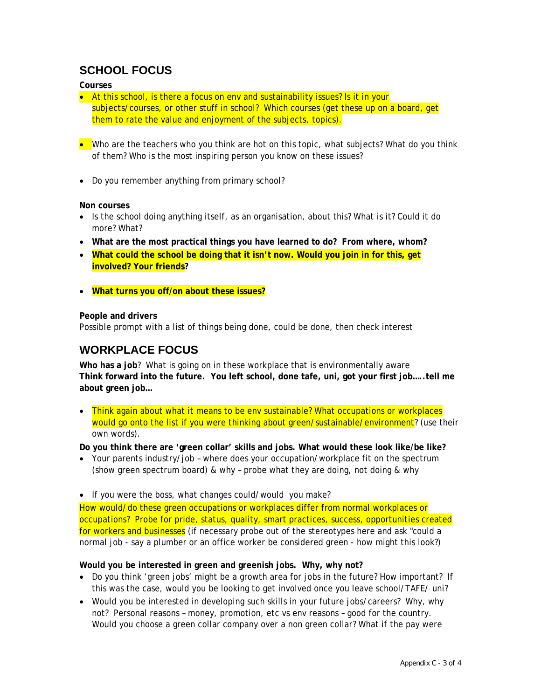# **SCHOOL FOCUS**

#### **Courses**

- At this school, is there a focus on env and sustainability issues? Is it in your subjects/courses, or other stuff in school? Which courses (get these up on a board, get them to rate the value and enjoyment of the subjects, topics).
- Who are the teachers who you think are hot on this topic, what subjects? What do you think of them? Who is the most inspiring person you know on these issues?
- Do you remember anything from primary school?

#### **Non courses**

- Is the school doing anything itself, as an organisation, about this? What is it? Could it do more? What?
- **What are the most practical things you have learned to do? From where, whom?**
- **What could the school be doing that it isn't now. Would you join in for this, get involved? Your friends?**
- **What turns you off/on about these issues?**

#### **People and drivers**

Possible prompt with a list of things being done, could be done, then check interest

# **WORKPLACE FOCUS**

**Who has a job**? What is going on in these workplace that is environmentally aware **Think forward into the future. You left school, done tafe, uni, got your first job…..tell me about green job…** 

• Think again about what it means to be env sustainable? What occupations or workplaces would go onto the list if you were thinking about green/sustainable/environment? (use their own words).

**Do you think there are 'green collar' skills and jobs. What would these look like/be like?** 

- Your parents industry/job where does your occupation/workplace fit on the spectrum (show green spectrum board) & why – probe what they are doing, not doing & why
- If you were the boss, what changes could/would you make?

How would/do these green occupations or workplaces differ from normal workplaces or occupations? Probe for pride, status, quality, smart practices, success, opportunities created for workers and businesses (if necessary probe out of the stereotypes here and ask "could a normal job - say a plumber or an office worker be considered green - how might this look?)

**Would you be interested in green and greenish jobs. Why, why not?** 

- Do you think 'green jobs' might be a growth area for jobs in the future? How important? If this was the case, would you be looking to get involved once you leave school/TAFE/ uni?
- Would you be interested in developing such skills in your future jobs/careers? Why, why not? Personal reasons – money, promotion, etc vs env reasons – good for the country. Would you choose a green collar company over a non green collar? What if the pay were